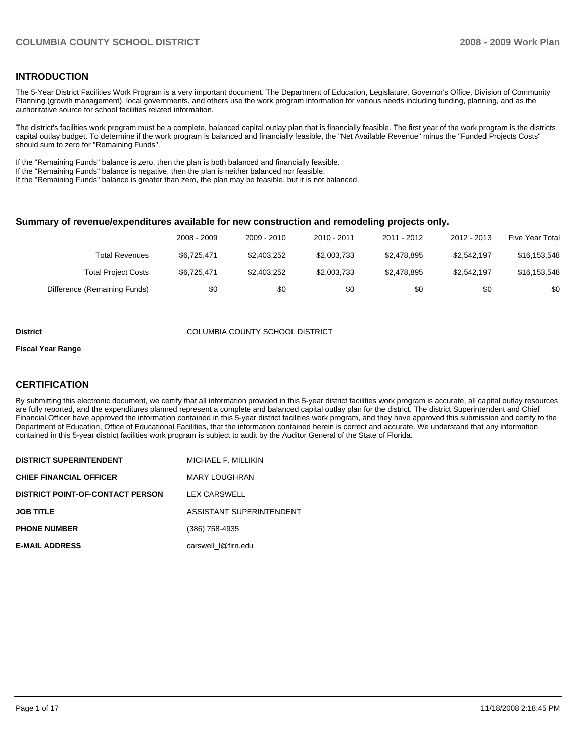#### **INTRODUCTION**

The 5-Year District Facilities Work Program is a very important document. The Department of Education, Legislature, Governor's Office, Division of Community Planning (growth management), local governments, and others use the work program information for various needs including funding, planning, and as the authoritative source for school facilities related information.

The district's facilities work program must be a complete, balanced capital outlay plan that is financially feasible. The first year of the work program is the districts capital outlay budget. To determine if the work program is balanced and financially feasible, the "Net Available Revenue" minus the "Funded Projects Costs" should sum to zero for "Remaining Funds".

If the "Remaining Funds" balance is zero, then the plan is both balanced and financially feasible.

If the "Remaining Funds" balance is negative, then the plan is neither balanced nor feasible.

If the "Remaining Funds" balance is greater than zero, the plan may be feasible, but it is not balanced.

#### **Summary of revenue/expenditures available for new construction and remodeling projects only.**

|                              | 2008 - 2009 | 2009 - 2010 | 2010 - 2011 | 2011 - 2012 | 2012 - 2013 | <b>Five Year Total</b> |
|------------------------------|-------------|-------------|-------------|-------------|-------------|------------------------|
| Total Revenues               | \$6.725.471 | \$2,403,252 | \$2,003,733 | \$2.478.895 | \$2.542.197 | \$16,153,548           |
| <b>Total Project Costs</b>   | \$6,725,471 | \$2,403,252 | \$2,003,733 | \$2.478.895 | \$2,542,197 | \$16,153,548           |
| Difference (Remaining Funds) | \$0         | \$0         | \$0         | \$0         | \$0         | \$0                    |

#### **District** COLUMBIA COUNTY SCHOOL DISTRICT

#### **Fiscal Year Range**

#### **CERTIFICATION**

By submitting this electronic document, we certify that all information provided in this 5-year district facilities work program is accurate, all capital outlay resources are fully reported, and the expenditures planned represent a complete and balanced capital outlay plan for the district. The district Superintendent and Chief Financial Officer have approved the information contained in this 5-year district facilities work program, and they have approved this submission and certify to the Department of Education, Office of Educational Facilities, that the information contained herein is correct and accurate. We understand that any information contained in this 5-year district facilities work program is subject to audit by the Auditor General of the State of Florida.

| <b>DISTRICT SUPERINTENDENT</b>          | MICHAEL F. MILLIKIN      |
|-----------------------------------------|--------------------------|
| <b>CHIEF FINANCIAL OFFICER</b>          | MARY LOUGHRAN            |
| <b>DISTRICT POINT-OF-CONTACT PERSON</b> | LEX CARSWELL             |
| <b>JOB TITLE</b>                        | ASSISTANT SUPERINTENDENT |
| <b>PHONE NUMBER</b>                     | (386) 758-4935           |
| <b>E-MAIL ADDRESS</b>                   | carswell I@firn.edu      |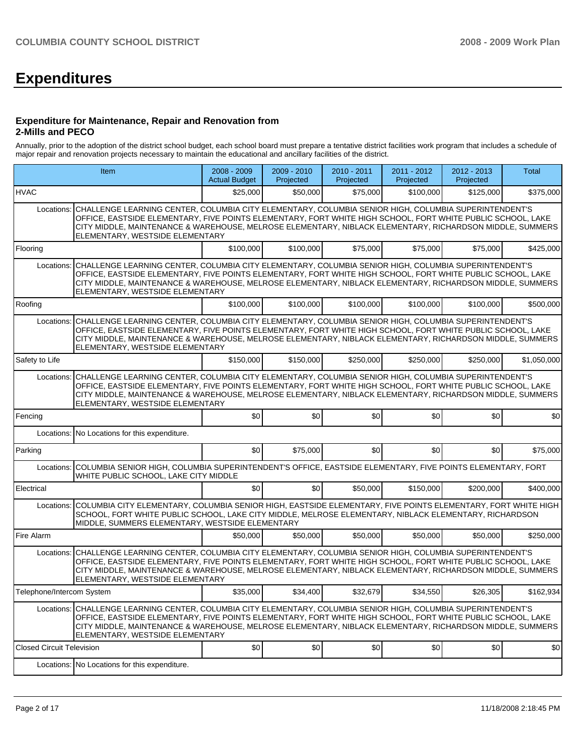# **Expenditures**

#### **Expenditure for Maintenance, Repair and Renovation from 2-Mills and PECO**

Annually, prior to the adoption of the district school budget, each school board must prepare a tentative district facilities work program that includes a schedule of major repair and renovation projects necessary to maintain the educational and ancillary facilities of the district.

| Item                             |                                                                                                                                                                                                                                                                                                                                                                               | $2008 - 2009$<br><b>Actual Budget</b> | 2009 - 2010<br>Projected | 2010 - 2011<br>Projected | 2011 - 2012<br>Projected | 2012 - 2013<br>Projected | Total       |  |  |  |  |
|----------------------------------|-------------------------------------------------------------------------------------------------------------------------------------------------------------------------------------------------------------------------------------------------------------------------------------------------------------------------------------------------------------------------------|---------------------------------------|--------------------------|--------------------------|--------------------------|--------------------------|-------------|--|--|--|--|
| <b>HVAC</b>                      |                                                                                                                                                                                                                                                                                                                                                                               | \$25,000                              | \$50,000                 | \$75,000                 | \$100,000                | \$125,000                | \$375,000   |  |  |  |  |
| Locations:                       | CHALLENGE LEARNING CENTER, COLUMBIA CITY ELEMENTARY, COLUMBIA SENIOR HIGH, COLUMBIA SUPERINTENDENT'S<br>OFFICE, EASTSIDE ELEMENTARY, FIVE POINTS ELEMENTARY, FORT WHITE HIGH SCHOOL, FORT WHITE PUBLIC SCHOOL, LAKE<br>CITY MIDDLE, MAINTENANCE & WAREHOUSE, MELROSE ELEMENTARY, NIBLACK ELEMENTARY, RICHARDSON MIDDLE, SUMMERS<br>ELEMENTARY, WESTSIDE ELEMENTARY            |                                       |                          |                          |                          |                          |             |  |  |  |  |
| Flooring                         |                                                                                                                                                                                                                                                                                                                                                                               | \$100,000                             | \$100,000                | \$75,000                 | \$75,000                 | \$75,000                 | \$425,000   |  |  |  |  |
| Locations:                       | CHALLENGE LEARNING CENTER, COLUMBIA CITY ELEMENTARY, COLUMBIA SENIOR HIGH, COLUMBIA SUPERINTENDENT'S<br>OFFICE, EASTSIDE ELEMENTARY, FIVE POINTS ELEMENTARY, FORT WHITE HIGH SCHOOL, FORT WHITE PUBLIC SCHOOL, LAKE<br>CITY MIDDLE, MAINTENANCE & WAREHOUSE, MELROSE ELEMENTARY, NIBLACK ELEMENTARY, RICHARDSON MIDDLE, SUMMERS<br>ELEMENTARY, WESTSIDE ELEMENTARY            |                                       |                          |                          |                          |                          |             |  |  |  |  |
| Roofing                          |                                                                                                                                                                                                                                                                                                                                                                               | \$100,000                             | \$100,000                | \$100,000                | \$100,000                | \$100,000                | \$500,000   |  |  |  |  |
| Locations:                       | CHALLENGE LEARNING CENTER, COLUMBIA CITY ELEMENTARY, COLUMBIA SENIOR HIGH, COLUMBIA SUPERINTENDENT'S<br>OFFICE, EASTSIDE ELEMENTARY, FIVE POINTS ELEMENTARY, FORT WHITE HIGH SCHOOL, FORT WHITE PUBLIC SCHOOL, LAKE<br>CITY MIDDLE, MAINTENANCE & WAREHOUSE, MELROSE ELEMENTARY, NIBLACK ELEMENTARY, RICHARDSON MIDDLE, SUMMERS<br>ELEMENTARY, WESTSIDE ELEMENTARY            |                                       |                          |                          |                          |                          |             |  |  |  |  |
| Safety to Life                   |                                                                                                                                                                                                                                                                                                                                                                               | \$150,000                             | \$150,000                | \$250,000                | \$250,000                | \$250,000                | \$1,050,000 |  |  |  |  |
| Locations:                       | CHALLENGE LEARNING CENTER, COLUMBIA CITY ELEMENTARY, COLUMBIA SENIOR HIGH, COLUMBIA SUPERINTENDENT'S<br>OFFICE, EASTSIDE ELEMENTARY, FIVE POINTS ELEMENTARY, FORT WHITE HIGH SCHOOL, FORT WHITE PUBLIC SCHOOL, LAKE<br>CITY MIDDLE, MAINTENANCE & WAREHOUSE, MELROSE ELEMENTARY, NIBLACK ELEMENTARY, RICHARDSON MIDDLE, SUMMERS<br>ELEMENTARY, WESTSIDE ELEMENTARY            |                                       |                          |                          |                          |                          |             |  |  |  |  |
| Fencing                          |                                                                                                                                                                                                                                                                                                                                                                               | \$0                                   | \$0                      | \$0                      | \$0                      | \$0                      | \$0         |  |  |  |  |
|                                  | Locations: No Locations for this expenditure.                                                                                                                                                                                                                                                                                                                                 |                                       |                          |                          |                          |                          |             |  |  |  |  |
| Parking                          |                                                                                                                                                                                                                                                                                                                                                                               | \$0                                   | \$75,000                 | \$0                      | \$0                      | \$0                      | \$75,000    |  |  |  |  |
|                                  | Locations: COLUMBIA SENIOR HIGH, COLUMBIA SUPERINTENDENT'S OFFICE, EASTSIDE ELEMENTARY, FIVE POINTS ELEMENTARY, FORT<br>WHITE PUBLIC SCHOOL, LAKE CITY MIDDLE                                                                                                                                                                                                                 |                                       |                          |                          |                          |                          |             |  |  |  |  |
| Electrical                       |                                                                                                                                                                                                                                                                                                                                                                               | \$0                                   | \$0                      | \$50,000                 | \$150,000                | \$200,000                | \$400,000   |  |  |  |  |
| Locations:                       | COLUMBIA CITY ELEMENTARY, COLUMBIA SENIOR HIGH, EASTSIDE ELEMENTARY, FIVE POINTS ELEMENTARY, FORT WHITE HIGH<br>SCHOOL, FORT WHITE PUBLIC SCHOOL, LAKE CITY MIDDLE, MELROSE ELEMENTARY, NIBLACK ELEMENTARY, RICHARDSON<br>MIDDLE, SUMMERS ELEMENTARY, WESTSIDE ELEMENTARY                                                                                                     |                                       |                          |                          |                          |                          |             |  |  |  |  |
| Fire Alarm                       |                                                                                                                                                                                                                                                                                                                                                                               | \$50,000                              | \$50,000                 | \$50,000                 | \$50,000                 | \$50,000                 | \$250.000   |  |  |  |  |
|                                  | Locations: CHALLENGE LEARNING CENTER, COLUMBIA CITY ELEMENTARY, COLUMBIA SENIOR HIGH, COLUMBIA SUPERINTENDENT'S<br>OFFICE, EASTSIDE ELEMENTARY, FIVE POINTS ELEMENTARY, FORT WHITE HIGH SCHOOL, FORT WHITE PUBLIC SCHOOL, LAKE<br>CITY MIDDLE, MAINTENANCE & WAREHOUSE, MELROSE ELEMENTARY, NIBLACK ELEMENTARY, RICHARDSON MIDDLE, SUMMERS<br>ELEMENTARY, WESTSIDE ELEMENTARY |                                       |                          |                          |                          |                          |             |  |  |  |  |
| Telephone/Intercom System        |                                                                                                                                                                                                                                                                                                                                                                               | \$35,000                              | \$34,400                 | \$32,679                 | \$34,550                 | \$26,305                 | \$162,934   |  |  |  |  |
| Locations:                       | CHALLENGE LEARNING CENTER, COLUMBIA CITY ELEMENTARY, COLUMBIA SENIOR HIGH, COLUMBIA SUPERINTENDENT'S<br>OFFICE, EASTSIDE ELEMENTARY, FIVE POINTS ELEMENTARY, FORT WHITE HIGH SCHOOL, FORT WHITE PUBLIC SCHOOL, LAKE<br>CITY MIDDLE, MAINTENANCE & WAREHOUSE, MELROSE ELEMENTARY, NIBLACK ELEMENTARY, RICHARDSON MIDDLE, SUMMERS<br>ELEMENTARY. WESTSIDE ELEMENTARY            |                                       |                          |                          |                          |                          |             |  |  |  |  |
| <b>Closed Circuit Television</b> |                                                                                                                                                                                                                                                                                                                                                                               | \$0                                   | \$0                      | \$0                      | \$0                      | \$0                      | \$0         |  |  |  |  |
|                                  | Locations: No Locations for this expenditure.                                                                                                                                                                                                                                                                                                                                 |                                       |                          |                          |                          |                          |             |  |  |  |  |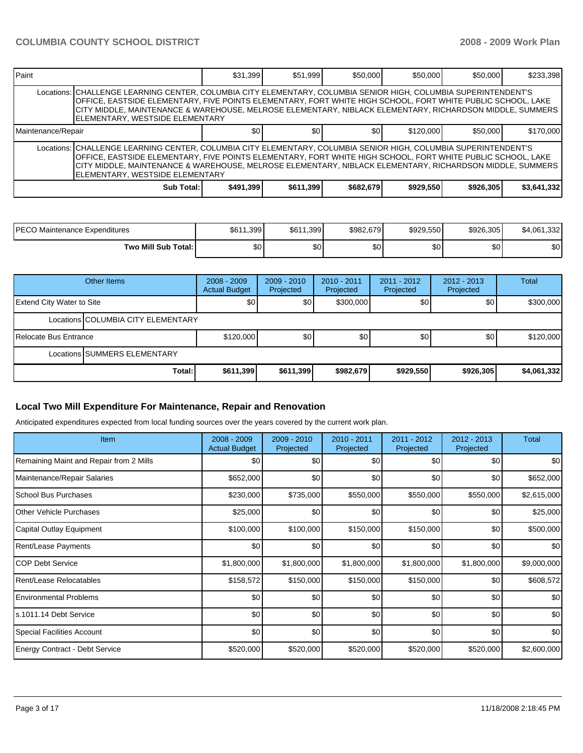| <b>IPaint</b>      |                                                                                                                                                                                                                                                                                                                                                                                 | \$31,399  | \$51,999  | \$50,000  | \$50,000  | \$50,000  | \$233,398   |  |  |  |
|--------------------|---------------------------------------------------------------------------------------------------------------------------------------------------------------------------------------------------------------------------------------------------------------------------------------------------------------------------------------------------------------------------------|-----------|-----------|-----------|-----------|-----------|-------------|--|--|--|
|                    | Locations: CHALLENGE LEARNING CENTER, COLUMBIA CITY ELEMENTARY, COLUMBIA SENIOR HIGH, COLUMBIA SUPERINTENDENT'S<br>OFFICE, EASTSIDE ELEMENTARY, FIVE POINTS ELEMENTARY, FORT WHITE HIGH SCHOOL, FORT WHITE PUBLIC SCHOOL, LAKE<br>CITY MIDDLE, MAINTENANCE & WAREHOUSE, MELROSE ELEMENTARY, NIBLACK ELEMENTARY, RICHARDSON MIDDLE, SUMMERS<br>ELEMENTARY, WESTSIDE ELEMENTARY   |           |           |           |           |           |             |  |  |  |
| Maintenance/Repair |                                                                                                                                                                                                                                                                                                                                                                                 | \$0       | \$0       | \$0       | \$120,000 | \$50,000  | \$170,000   |  |  |  |
|                    | Locations:   CHALLENGE LEARNING CENTER, COLUMBIA CITY ELEMENTARY, COLUMBIA SENIOR HIGH, COLUMBIA SUPERINTENDENT'S<br>OFFICE, EASTSIDE ELEMENTARY, FIVE POINTS ELEMENTARY, FORT WHITE HIGH SCHOOL, FORT WHITE PUBLIC SCHOOL, LAKE<br>CITY MIDDLE, MAINTENANCE & WAREHOUSE, MELROSE ELEMENTARY, NIBLACK ELEMENTARY, RICHARDSON MIDDLE, SUMMERS<br>ELEMENTARY, WESTSIDE ELEMENTARY |           |           |           |           |           |             |  |  |  |
|                    | Sub Total:                                                                                                                                                                                                                                                                                                                                                                      | \$491,399 | \$611,399 | \$682,679 | \$929,550 | \$926,305 | \$3,641,332 |  |  |  |

| IPECO Maintenance Expenditures | \$611,399 | 1,399<br>\$61 | \$982,679 | \$929,550 | \$926,305 | 1,332<br>\$4,061. |
|--------------------------------|-----------|---------------|-----------|-----------|-----------|-------------------|
| Two Mill Sub Total:            | \$0       | \$0           | \$0       | \$0       | ሶስ<br>ΦU  | \$0               |

|                                  | Other Items                        | $2008 - 2009$<br><b>Actual Budget</b> | $2009 - 2010$<br>Projected | $2010 - 2011$<br>Projected | $2011 - 2012$<br>Projected | $2012 - 2013$<br>Projected | <b>Total</b> |  |
|----------------------------------|------------------------------------|---------------------------------------|----------------------------|----------------------------|----------------------------|----------------------------|--------------|--|
| <b>Extend City Water to Site</b> |                                    | <b>\$01</b>                           | \$0                        | \$300,000                  | \$0                        | \$0 <sub>1</sub>           | \$300,000    |  |
|                                  | Locations COLUMBIA CITY ELEMENTARY |                                       |                            |                            |                            |                            |              |  |
| Relocate Bus Entrance            |                                    | \$120,000                             | \$0                        | \$0                        | \$0                        | \$0 <sub>1</sub>           | \$120,000    |  |
| Locations ISUMMERS ELEMENTARY    |                                    |                                       |                            |                            |                            |                            |              |  |
|                                  | Total:                             | \$611,399                             | \$611,399                  | \$982,679                  | \$929,550                  | \$926,305                  | \$4,061,332  |  |

## **Local Two Mill Expenditure For Maintenance, Repair and Renovation**

Anticipated expenditures expected from local funding sources over the years covered by the current work plan.

| <b>Item</b>                             | 2008 - 2009<br><b>Actual Budget</b> | 2009 - 2010<br>Projected | $2010 - 2011$<br>Projected | 2011 - 2012<br>Projected | 2012 - 2013<br>Projected | <b>Total</b> |
|-----------------------------------------|-------------------------------------|--------------------------|----------------------------|--------------------------|--------------------------|--------------|
| Remaining Maint and Repair from 2 Mills | \$0                                 | \$0                      | \$0                        | \$0                      | \$0 <sub>1</sub>         | \$0          |
| Maintenance/Repair Salaries             | \$652,000                           | \$0                      | \$0                        | \$0                      | \$0                      | \$652,000    |
| School Bus Purchases                    | \$230,000                           | \$735,000                | \$550,000                  | \$550,000                | \$550,000                | \$2,615,000  |
| <b>O</b> ther Vehicle Purchases         | \$25,000                            | \$0                      | \$0                        | \$0                      | \$0                      | \$25,000     |
| Capital Outlay Equipment                | \$100,000                           | \$100,000                | \$150,000                  | \$150,000                | \$0                      | \$500,000    |
| <b>Rent/Lease Payments</b>              | \$0                                 | \$0                      | \$0                        | \$0                      | \$0 <sub>1</sub>         | \$0          |
| ICOP Debt Service                       | \$1,800,000                         | \$1,800,000              | \$1,800,000                | \$1,800,000              | \$1,800,000              | \$9,000,000  |
| Rent/Lease Relocatables                 | \$158,572                           | \$150,000                | \$150,000                  | \$150,000                | \$0                      | \$608,572    |
| Environmental Problems                  | \$0                                 | \$0                      | \$0                        | \$0                      | \$0                      | \$0          |
| s.1011.14 Debt Service                  | \$0                                 | \$0                      | \$0                        | \$0                      | \$0                      | \$0          |
| Special Facilities Account              | \$0                                 | \$0                      | \$0                        | \$0                      | \$0 <sub>1</sub>         | \$0          |
| <b>Energy Contract - Debt Service</b>   | \$520,000                           | \$520,000                | \$520,000                  | \$520,000                | \$520,000                | \$2,600,000  |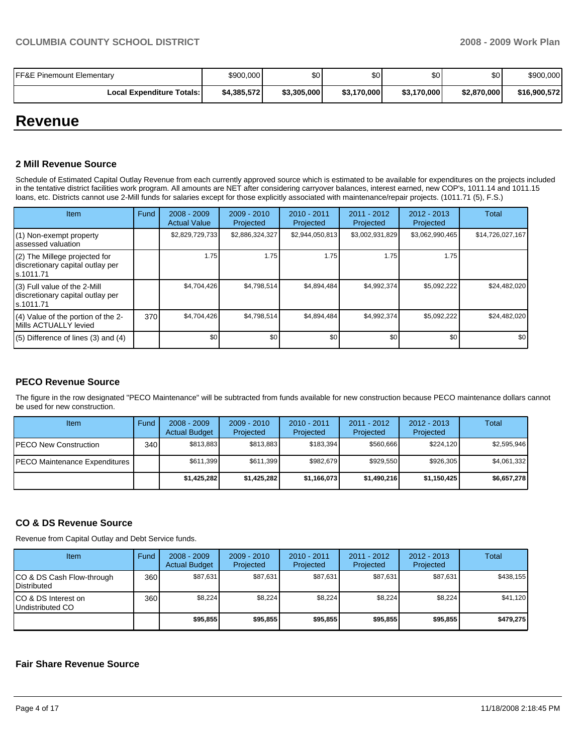| <b>FF&amp;E Pinemount Elementary</b> | \$900,000   | \$0         | \$0         | \$0         | \$0         | \$900,000    |
|--------------------------------------|-------------|-------------|-------------|-------------|-------------|--------------|
| <b>Local Expenditure Totals:</b>     | \$4,385,572 | \$3,305,000 | \$3,170,000 | \$3,170,000 | \$2,870,000 | \$16,900,572 |

## **Revenue**

#### **2 Mill Revenue Source**

Schedule of Estimated Capital Outlay Revenue from each currently approved source which is estimated to be available for expenditures on the projects included in the tentative district facilities work program. All amounts are NET after considering carryover balances, interest earned, new COP's, 1011.14 and 1011.15 loans, etc. Districts cannot use 2-Mill funds for salaries except for those explicitly associated with maintenance/repair projects. (1011.71 (5), F.S.)

| Item                                                                           | Fund | $2008 - 2009$<br><b>Actual Value</b> | $2009 - 2010$<br>Projected | $2010 - 2011$<br>Projected | 2011 - 2012<br>Projected | $2012 - 2013$<br>Projected | <b>Total</b>     |
|--------------------------------------------------------------------------------|------|--------------------------------------|----------------------------|----------------------------|--------------------------|----------------------------|------------------|
| (1) Non-exempt property<br>assessed valuation                                  |      | \$2,829,729,733                      | \$2,886,324,327            | \$2,944,050,813            | \$3,002,931,829          | \$3,062,990,465            | \$14,726,027,167 |
| (2) The Millege projected for<br>discretionary capital outlay per<br>s.1011.71 |      | 1.75                                 | 1.75                       | 1.75                       | 1.75                     | 1.75                       |                  |
| (3) Full value of the 2-Mill<br>discretionary capital outlay per<br>ls.1011.71 |      | \$4,704,426                          | \$4.798.514                | \$4,894,484                | \$4,992,374              | \$5,092,222                | \$24,482,020     |
| (4) Value of the portion of the 2-<br>Mills ACTUALLY levied                    | 370  | \$4,704,426                          | \$4,798,514                | \$4,894,484                | \$4,992,374              | \$5,092,222                | \$24,482,020     |
| $(5)$ Difference of lines (3) and (4)                                          |      | \$0                                  | \$0                        | \$0                        | \$0                      | \$0                        | \$0              |

### **PECO Revenue Source**

The figure in the row designated "PECO Maintenance" will be subtracted from funds available for new construction because PECO maintenance dollars cannot be used for new construction.

| <b>Item</b>                   | Fund             | $2008 - 2009$<br><b>Actual Budget</b> | $2009 - 2010$<br>Projected | $2010 - 2011$<br>Projected | 2011 - 2012<br>Projected | $2012 - 2013$<br>Projected | Total       |
|-------------------------------|------------------|---------------------------------------|----------------------------|----------------------------|--------------------------|----------------------------|-------------|
| IPECO New Construction        | 340 <sub>l</sub> | \$813.883                             | \$813,883                  | \$183.394                  | \$560.666                | \$224.120                  | \$2,595,946 |
| PECO Maintenance Expenditures |                  | \$611.399                             | \$611,399                  | \$982.679                  | \$929.550                | \$926,305                  | \$4,061,332 |
|                               |                  | \$1,425,282                           | \$1,425,282                | \$1,166,073                | \$1,490,216              | \$1,150,425                | \$6,657,278 |

### **CO & DS Revenue Source**

Revenue from Capital Outlay and Debt Service funds.

| Item                                            | Fund | $2008 - 2009$<br><b>Actual Budget</b> | $2009 - 2010$<br>Projected | $2010 - 2011$<br>Projected | 2011 - 2012<br>Projected | $2012 - 2013$<br>Projected | Total     |
|-------------------------------------------------|------|---------------------------------------|----------------------------|----------------------------|--------------------------|----------------------------|-----------|
| CO & DS Cash Flow-through<br><b>Distributed</b> | 360  | \$87,631                              | \$87,631                   | \$87.631                   | \$87,631                 | \$87.631                   | \$438.155 |
| CO & DS Interest on<br>Undistributed CO         | 360  | \$8.224                               | \$8,224                    | \$8.224                    | \$8.224                  | \$8.224                    | \$41,120  |
|                                                 |      | \$95,855                              | \$95.855                   | \$95.855                   | \$95.855                 | \$95.855                   | \$479.275 |

#### **Fair Share Revenue Source**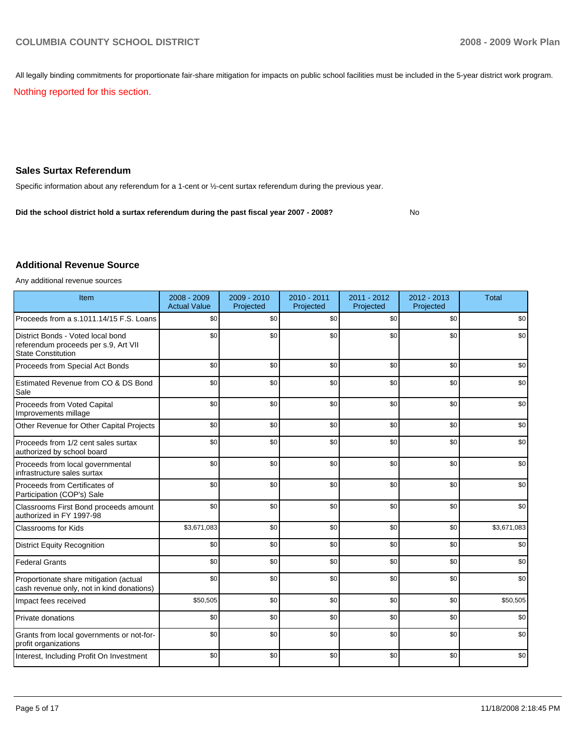All legally binding commitments for proportionate fair-share mitigation for impacts on public school facilities must be included in the 5-year district work program.

Nothing reported for this section.

#### **Sales Surtax Referendum**

Specific information about any referendum for a 1-cent or ½-cent surtax referendum during the previous year.

**Did the school district hold a surtax referendum during the past fiscal year 2007 - 2008?** No

#### **Additional Revenue Source**

Any additional revenue sources

| Item                                                                                                   | 2008 - 2009<br><b>Actual Value</b> | 2009 - 2010<br>Projected | 2010 - 2011<br>Projected | 2011 - 2012<br>Projected | $2012 - 2013$<br>Projected | <b>Total</b> |
|--------------------------------------------------------------------------------------------------------|------------------------------------|--------------------------|--------------------------|--------------------------|----------------------------|--------------|
| Proceeds from a s.1011.14/15 F.S. Loans                                                                | \$0                                | \$0                      | \$0                      | \$0                      | \$0                        | \$0          |
| District Bonds - Voted local bond<br>referendum proceeds per s.9, Art VII<br><b>State Constitution</b> | \$0                                | \$0                      | \$0                      | \$0                      | \$0                        | \$0          |
| Proceeds from Special Act Bonds                                                                        | \$0                                | \$0                      | \$0                      | \$0                      | \$0                        | \$0          |
| Estimated Revenue from CO & DS Bond<br>Sale                                                            | \$0                                | \$0                      | \$0                      | \$0                      | \$0                        | \$0          |
| Proceeds from Voted Capital<br>Improvements millage                                                    | \$0                                | \$0                      | \$0                      | \$0                      | \$0                        | \$0          |
| Other Revenue for Other Capital Projects                                                               | \$0                                | \$0                      | \$0                      | \$0                      | \$0                        | \$0          |
| Proceeds from 1/2 cent sales surtax<br>authorized by school board                                      | \$0                                | \$0                      | \$0                      | \$0                      | \$0                        | \$0          |
| Proceeds from local governmental<br>infrastructure sales surtax                                        | \$0                                | \$0                      | \$0                      | \$0                      | \$0                        | \$0          |
| Proceeds from Certificates of<br>Participation (COP's) Sale                                            | \$0                                | \$0                      | \$0                      | \$0                      | \$0                        | \$0          |
| Classrooms First Bond proceeds amount<br>authorized in FY 1997-98                                      | \$0                                | \$0                      | \$0                      | \$0                      | \$0                        | \$0          |
| Classrooms for Kids                                                                                    | \$3,671,083                        | \$0                      | \$0                      | \$0                      | \$0                        | \$3,671,083  |
| <b>District Equity Recognition</b>                                                                     | \$0                                | \$0                      | \$0                      | \$0                      | \$0                        | \$0          |
| <b>Federal Grants</b>                                                                                  | \$0                                | \$0                      | \$0                      | \$0                      | \$0                        | \$0          |
| Proportionate share mitigation (actual<br>cash revenue only, not in kind donations)                    | \$0                                | \$0                      | \$0                      | \$0                      | \$0                        | \$0          |
| Impact fees received                                                                                   | \$50,505                           | \$0                      | \$0                      | \$0                      | \$0                        | \$50,505     |
| Private donations                                                                                      | \$0                                | \$0                      | \$0                      | \$0                      | \$0                        | \$0          |
| Grants from local governments or not-for-<br>profit organizations                                      | \$0                                | \$0                      | \$0                      | \$0                      | \$0                        | \$0          |
| Interest, Including Profit On Investment                                                               | \$0                                | \$0                      | \$0                      | \$0                      | \$0                        | \$0          |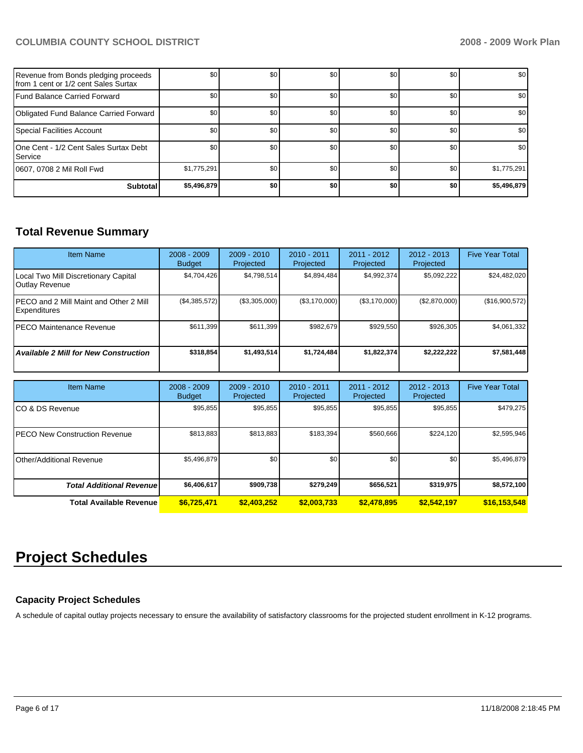| Revenue from Bonds pledging proceeds<br>Ifrom 1 cent or 1/2 cent Sales Surtax | \$0         | \$0 | \$0 | \$0 | \$0 | \$0         |
|-------------------------------------------------------------------------------|-------------|-----|-----|-----|-----|-------------|
| Fund Balance Carried Forward                                                  | \$0         | \$0 | \$0 | \$0 | \$0 | \$0         |
| Obligated Fund Balance Carried Forward                                        | \$0         | \$0 | \$0 | \$0 | \$0 | \$0         |
| Special Facilities Account                                                    | \$0         | \$0 | \$0 | \$0 | \$0 | \$0         |
| 10ne Cent - 1/2 Cent Sales Surtax Debt<br><b>Service</b>                      | \$0         | \$0 | \$0 | \$0 | \$0 | \$0         |
| 10607, 0708 2 Mil Roll Fwd                                                    | \$1,775,291 | \$0 | \$0 | \$0 | \$0 | \$1,775,291 |
| <b>Subtotal</b>                                                               | \$5,496,879 | \$0 | \$0 | \$0 | \$0 | \$5,496,879 |

## **Total Revenue Summary**

| <b>Item Name</b>                                              | $2008 - 2009$<br><b>Budget</b> | $2009 - 2010$<br>Projected | $2010 - 2011$<br>Projected | 2011 - 2012<br>Projected | $2012 - 2013$<br>Projected | <b>Five Year Total</b> |
|---------------------------------------------------------------|--------------------------------|----------------------------|----------------------------|--------------------------|----------------------------|------------------------|
| Local Two Mill Discretionary Capital<br><b>Outlay Revenue</b> | \$4,704,426                    | \$4.798.514                | \$4,894,484                | \$4,992,374              | \$5,092,222                | \$24,482,020           |
| IPECO and 2 Mill Maint and Other 2 Mill<br>Expenditures       | (\$4,385,572)                  | (\$3,305,000)              | (\$3,170,000)              | (\$3,170,000)            | (\$2,870,000)              | (\$16,900,572)         |
| IPECO Maintenance Revenue                                     | \$611,399                      | \$611,399                  | \$982.679                  | \$929,550                | \$926,305                  | \$4,061,332            |
| <b>Available 2 Mill for New Construction</b>                  | \$318,854                      | \$1,493,514                | \$1,724,484                | \$1,822,374              | \$2,222,222                | \$7,581,448            |

| <b>Item Name</b>                      | $2008 - 2009$<br><b>Budget</b> | $2009 - 2010$<br>Projected | 2010 - 2011<br>Projected | 2011 - 2012<br>Projected | $2012 - 2013$<br>Projected | <b>Five Year Total</b> |
|---------------------------------------|--------------------------------|----------------------------|--------------------------|--------------------------|----------------------------|------------------------|
| ICO & DS Revenue                      | \$95,855                       | \$95,855                   | \$95,855                 | \$95,855                 | \$95,855                   | \$479,275              |
| <b>IPECO New Construction Revenue</b> | \$813,883                      | \$813,883                  | \$183,394                | \$560,666                | \$224,120                  | \$2,595,946            |
| <b>IOther/Additional Revenue</b>      | \$5,496,879                    | \$0 <sub>1</sub>           | \$0                      | \$0                      | \$0                        | \$5,496,879            |
| <b>Total Additional Revenue</b>       | \$6,406,617                    | \$909,738                  | \$279.249                | \$656,521                | \$319.975                  | \$8,572,100            |
| <b>Total Available Revenue</b>        | \$6,725,471                    | \$2,403.252                | \$2,003.733              | \$2,478,895              | \$2,542,197                | \$16,153,548           |

## **Project Schedules**

## **Capacity Project Schedules**

A schedule of capital outlay projects necessary to ensure the availability of satisfactory classrooms for the projected student enrollment in K-12 programs.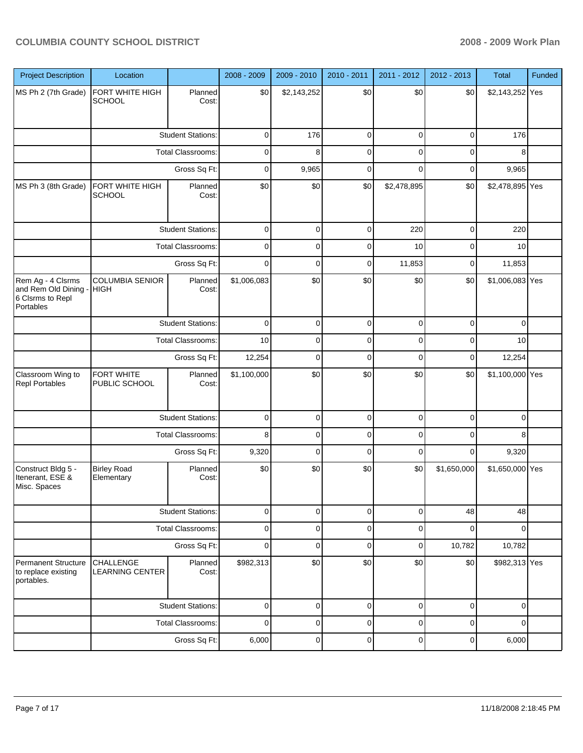| <b>Project Description</b>                                                 | Location                                      |                          | 2008 - 2009 | 2009 - 2010 | 2010 - 2011 | 2011 - 2012 | 2012 - 2013 | <b>Total</b>    | Funded |
|----------------------------------------------------------------------------|-----------------------------------------------|--------------------------|-------------|-------------|-------------|-------------|-------------|-----------------|--------|
| MS Ph 2 (7th Grade)                                                        | FORT WHITE HIGH<br><b>SCHOOL</b>              | Planned<br>Cost:         | \$0         | \$2,143,252 | \$0         | \$0         | \$0         | \$2,143,252 Yes |        |
|                                                                            |                                               | <b>Student Stations:</b> | $\mathbf 0$ | 176         | 0           | 0           | $\mathbf 0$ | 176             |        |
|                                                                            | <b>Total Classrooms:</b>                      |                          | 0           | 8           | $\mathbf 0$ | 0           | 0           | 8               |        |
|                                                                            |                                               | Gross Sq Ft:             | $\mathbf 0$ | 9,965       | 0           | $\Omega$    | $\mathbf 0$ | 9,965           |        |
| MS Ph 3 (8th Grade)                                                        | FORT WHITE HIGH<br><b>SCHOOL</b>              | Planned<br>Cost:         | \$0         | \$0         | \$0         | \$2,478,895 | \$0         | \$2,478,895 Yes |        |
|                                                                            |                                               | <b>Student Stations:</b> | 0           | 0           | 0           | 220         | 0           | 220             |        |
|                                                                            |                                               | Total Classrooms:        | 0           | 0           | 0           | 10          | 0           | 10              |        |
|                                                                            |                                               | Gross Sq Ft:             | $\mathbf 0$ | 0           | 0           | 11,853      | 0           | 11,853          |        |
| Rem Ag - 4 Clsrms<br>and Rem Old Dining -<br>6 Clsrms to Repl<br>Portables | <b>COLUMBIA SENIOR</b><br><b>HIGH</b>         | Planned<br>Cost:         | \$1,006,083 | \$0         | \$0         | \$0         | \$0         | \$1,006,083 Yes |        |
|                                                                            | <b>Student Stations:</b><br>Total Classrooms: |                          | $\mathbf 0$ | $\mathbf 0$ | 0           | $\mathbf 0$ | $\mathbf 0$ | $\mathbf 0$     |        |
|                                                                            |                                               |                          | 10          | 0           | 0           | 0           | 0           | 10              |        |
|                                                                            |                                               | Gross Sq Ft:             | 12,254      | 0           | $\mathbf 0$ | $\mathbf 0$ | 0           | 12,254          |        |
| Classroom Wing to<br><b>Repl Portables</b>                                 | FORT WHITE<br>PUBLIC SCHOOL                   | Planned<br>Cost:         | \$1,100,000 | \$0         | \$0         | \$0         | \$0         | \$1,100,000 Yes |        |
|                                                                            |                                               | <b>Student Stations:</b> | 0           | 0           | 0           | 0           | 0           | 0               |        |
|                                                                            |                                               | <b>Total Classrooms:</b> | 8           | 0           | 0           | 0           | 0           | 8               |        |
|                                                                            |                                               | Gross Sq Ft:             | 9,320       | 0           | 0           | 0           | 0           | 9,320           |        |
| Construct Bldg 5 -<br>Itenerant, ESE &<br>Misc. Spaces                     | <b>Birley Road</b><br>Elementary              | Planned<br>Cost:         | \$0         | \$0         | \$0         | \$0         | \$1,650,000 | \$1,650,000 Yes |        |
|                                                                            |                                               | <b>Student Stations:</b> | 0           | 0           | 0           | 0           | 48          | 48              |        |
|                                                                            |                                               | Total Classrooms:        | 0           | 0           | 0           | 0           | $\mathbf 0$ | $\mathbf 0$     |        |
|                                                                            |                                               | Gross Sq Ft:             | 0           | 0           | 0           | 0           | 10,782      | 10,782          |        |
| <b>Permanent Structure</b><br>to replace existing<br>portables.            | <b>CHALLENGE</b><br><b>LEARNING CENTER</b>    | Planned<br>Cost:         | \$982,313   | \$0         | \$0         | \$0         | \$0         | \$982,313 Yes   |        |
|                                                                            |                                               | <b>Student Stations:</b> | 0           | 0           | 0           | 0           | $\mathbf 0$ | 0               |        |
|                                                                            |                                               | <b>Total Classrooms:</b> | 0           | 0           | 0           | 0           | 0           | 0               |        |
|                                                                            |                                               | Gross Sq Ft:             | 6,000       | $\mathbf 0$ | $\mathbf 0$ | $\pmb{0}$   | $\pmb{0}$   | 6,000           |        |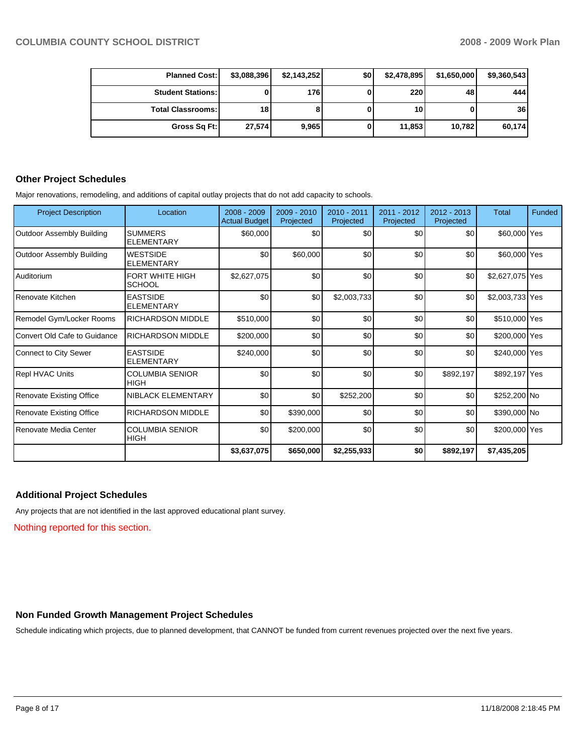| <b>Planned Cost:</b>     | \$3,088,396 | \$2,143,252 | \$0 | \$2,478,895 | \$1,650,000 | \$9,360,543 |
|--------------------------|-------------|-------------|-----|-------------|-------------|-------------|
| <b>Student Stations:</b> |             | 176         |     | 220         | 48          | 444         |
| <b>Total Classrooms:</b> | 18 I        |             |     | 10          |             | 36          |
| Gross Sq Ft:             | 27,574      | 9,965       |     | 11,853      | 10,782      | 60,174      |

#### **Other Project Schedules**

Major renovations, remodeling, and additions of capital outlay projects that do not add capacity to schools.

| <b>Project Description</b>       | Location                              | 2008 - 2009<br><b>Actual Budget</b> | 2009 - 2010<br>Projected | 2010 - 2011<br>Projected | $2011 - 2012$<br>Projected | $2012 - 2013$<br>Projected | <b>Total</b>    | Funded |
|----------------------------------|---------------------------------------|-------------------------------------|--------------------------|--------------------------|----------------------------|----------------------------|-----------------|--------|
| <b>Outdoor Assembly Building</b> | <b>SUMMERS</b><br><b>ELEMENTARY</b>   | \$60,000                            | \$0                      | \$0                      | \$0                        | \$0                        | \$60,000 Yes    |        |
| <b>Outdoor Assembly Building</b> | <b>WESTSIDE</b><br><b>ELEMENTARY</b>  | \$0                                 | \$60,000                 | \$0                      | \$0                        | \$0                        | \$60,000 Yes    |        |
| l Auditorium                     | FORT WHITE HIGH<br><b>SCHOOL</b>      | \$2,627,075                         | \$0                      | \$0                      | \$0                        | \$0                        | \$2,627,075 Yes |        |
| Renovate Kitchen                 | <b>EASTSIDE</b><br><b>ELEMENTARY</b>  | \$0                                 | \$0                      | \$2,003,733              | \$0                        | \$0                        | \$2,003,733 Yes |        |
| Remodel Gym/Locker Rooms         | <b>RICHARDSON MIDDLE</b>              | \$510,000                           | \$0                      | \$0                      | \$0                        | \$0                        | \$510,000 Yes   |        |
| Convert Old Cafe to Guidance     | <b>RICHARDSON MIDDLE</b>              | \$200,000                           | \$0                      | \$0                      | \$0                        | \$0                        | \$200,000 Yes   |        |
| Connect to City Sewer            | <b>EASTSIDE</b><br><b>ELEMENTARY</b>  | \$240,000                           | \$0                      | \$0                      | \$0                        | \$0                        | \$240,000 Yes   |        |
| Repl HVAC Units                  | <b>COLUMBIA SENIOR</b><br><b>HIGH</b> | \$0                                 | \$0                      | \$0                      | \$0                        | \$892,197                  | \$892,197 Yes   |        |
| <b>Renovate Existing Office</b>  | NIBLACK ELEMENTARY                    | \$0                                 | \$0                      | \$252,200                | \$0                        | \$0                        | \$252,200 No    |        |
| Renovate Existing Office         | <b>RICHARDSON MIDDLE</b>              | \$0                                 | \$390,000                | \$0                      | \$0                        | \$0                        | \$390,000 No    |        |
| Renovate Media Center            | <b>COLUMBIA SENIOR</b><br><b>HIGH</b> | \$0                                 | \$200,000                | \$0                      | \$0                        | \$0                        | \$200,000 Yes   |        |
|                                  |                                       | \$3,637,075                         | \$650,000                | \$2,255,933              | \$0                        | \$892,197                  | \$7,435,205     |        |

#### **Additional Project Schedules**

Any projects that are not identified in the last approved educational plant survey.

Nothing reported for this section.

## **Non Funded Growth Management Project Schedules**

Schedule indicating which projects, due to planned development, that CANNOT be funded from current revenues projected over the next five years.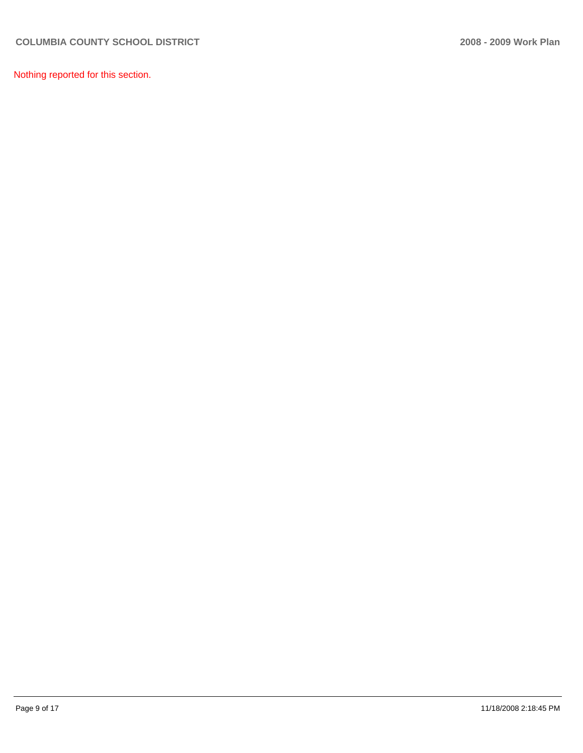Nothing reported for this section.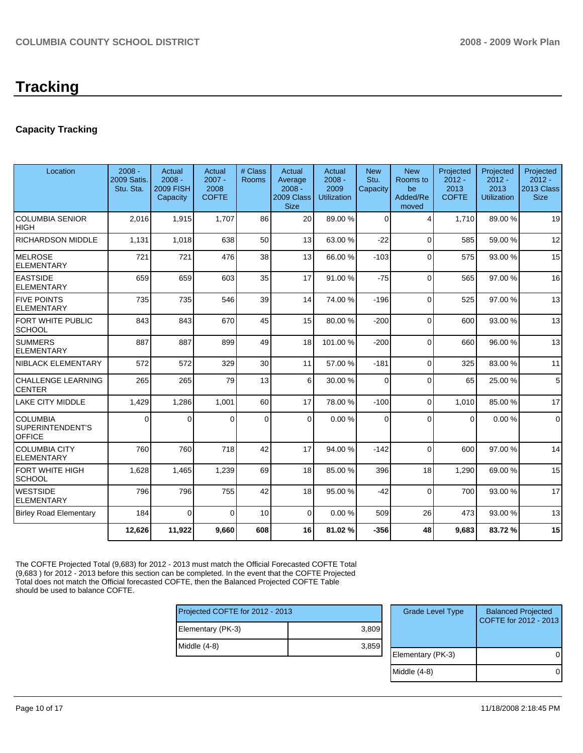## **Capacity Tracking**

| Location                                             | $2008 -$<br><b>2009 Satis.</b><br>Stu. Sta. | Actual<br>$2008 -$<br><b>2009 FISH</b><br>Capacity | Actual<br>$2007 -$<br>2008<br><b>COFTE</b> | # Class<br><b>Rooms</b> | Actual<br>Average<br>$2008 -$<br>2009 Class<br><b>Size</b> | Actual<br>$2008 -$<br>2009<br><b>Utilization</b> | <b>New</b><br>Stu.<br>Capacity | <b>New</b><br>Rooms to<br>be<br>Added/Re<br>moved | Projected<br>$2012 -$<br>2013<br><b>COFTE</b> | Projected<br>$2012 -$<br>2013<br><b>Utilization</b> | Projected<br>$2012 -$<br>2013 Class<br><b>Size</b> |
|------------------------------------------------------|---------------------------------------------|----------------------------------------------------|--------------------------------------------|-------------------------|------------------------------------------------------------|--------------------------------------------------|--------------------------------|---------------------------------------------------|-----------------------------------------------|-----------------------------------------------------|----------------------------------------------------|
| <b>COLUMBIA SENIOR</b><br><b>HIGH</b>                | 2.016                                       | 1,915                                              | 1.707                                      | 86                      | 20                                                         | 89.00 %                                          | $\Omega$                       | $\overline{4}$                                    | 1.710                                         | 89.00 %                                             | 19                                                 |
| <b>RICHARDSON MIDDLE</b>                             | 1,131                                       | 1,018                                              | 638                                        | 50                      | 13 <sup>1</sup>                                            | 63.00 %                                          | $-22$                          | $\Omega$                                          | 585                                           | 59.00 %                                             | 12                                                 |
| <b>MELROSE</b><br><b>ELEMENTARY</b>                  | 721                                         | 721                                                | 476                                        | 38                      | 13                                                         | 66.00 %                                          | $-103$                         | $\Omega$                                          | 575                                           | 93.00 %                                             | 15                                                 |
| <b>EASTSIDE</b><br><b>ELEMENTARY</b>                 | 659                                         | 659                                                | 603                                        | 35                      | 17                                                         | 91.00 %                                          | $-75$                          | $\Omega$                                          | 565                                           | 97.00 %                                             | 16                                                 |
| <b>FIVE POINTS</b><br><b>ELEMENTARY</b>              | 735                                         | 735                                                | 546                                        | 39                      | 14                                                         | 74.00 %                                          | $-196$                         | $\Omega$                                          | 525                                           | 97.00 %                                             | 13                                                 |
| FORT WHITE PUBLIC<br><b>SCHOOL</b>                   | 843                                         | 843                                                | 670                                        | 45                      | 15                                                         | 80.00 %                                          | $-200$                         | $\Omega$                                          | 600                                           | 93.00 %                                             | 13                                                 |
| <b>SUMMERS</b><br><b>ELEMENTARY</b>                  | 887                                         | 887                                                | 899                                        | 49                      | 18                                                         | 101.00%                                          | $-200$                         | $\Omega$                                          | 660                                           | 96.00 %                                             | 13                                                 |
| NIBLACK ELEMENTARY                                   | 572                                         | 572                                                | 329                                        | 30                      | 11                                                         | 57.00 %                                          | $-181$                         | $\mathbf{0}$                                      | 325                                           | 83.00 %                                             | 11                                                 |
| <b>CHALLENGE LEARNING</b><br><b>CENTER</b>           | 265                                         | 265                                                | 79                                         | 13                      | 6                                                          | 30.00 %                                          | $\Omega$                       | $\Omega$                                          | 65                                            | 25.00 %                                             | 5                                                  |
| <b>LAKE CITY MIDDLE</b>                              | 1,429                                       | 1,286                                              | 1,001                                      | 60                      | 17                                                         | 78.00 %                                          | $-100$                         | $\mathbf{0}$                                      | 1,010                                         | 85.00 %                                             | 17                                                 |
| <b>COLUMBIA</b><br>SUPERINTENDENT'S<br><b>OFFICE</b> | $\Omega$                                    | $\Omega$                                           | $\Omega$                                   | $\Omega$                | $\Omega$                                                   | 0.00%                                            | 0                              | $\Omega$                                          | $\Omega$                                      | 0.00%                                               | $\mathbf 0$                                        |
| <b>COLUMBIA CITY</b><br><b>ELEMENTARY</b>            | 760                                         | 760                                                | 718                                        | 42                      | 17                                                         | 94.00 %                                          | $-142$                         | $\Omega$                                          | 600                                           | 97.00 %                                             | 14                                                 |
| <b>FORT WHITE HIGH</b><br>SCHOOL                     | 1,628                                       | 1,465                                              | 1,239                                      | 69                      | 18                                                         | 85.00 %                                          | 396                            | 18                                                | 1,290                                         | 69.00 %                                             | 15                                                 |
| <b>WESTSIDE</b><br><b>ELEMENTARY</b>                 | 796                                         | 796                                                | 755                                        | 42                      | 18                                                         | 95.00 %                                          | $-42$                          | $\Omega$                                          | 700                                           | 93.00 %                                             | 17                                                 |
| <b>Birley Road Elementary</b>                        | 184                                         | $\Omega$                                           | $\Omega$                                   | 10                      | $\overline{0}$                                             | 0.00%                                            | 509                            | 26                                                | 473                                           | 93.00 %                                             | 13                                                 |
|                                                      | 12,626                                      | 11,922                                             | 9,660                                      | 608                     | 16                                                         | 81.02%                                           | $-356$                         | 48                                                | 9,683                                         | 83.72%                                              | 15                                                 |

The COFTE Projected Total (9,683) for 2012 - 2013 must match the Official Forecasted COFTE Total (9,683 ) for 2012 - 2013 before this section can be completed. In the event that the COFTE Projected Total does not match the Official forecasted COFTE, then the Balanced Projected COFTE Table should be used to balance COFTE.

| Projected COFTE for 2012 - 2013 |       |  |  |  |  |
|---------------------------------|-------|--|--|--|--|
| Elementary (PK-3)               | 3,809 |  |  |  |  |
| Middle (4-8)                    | 3,859 |  |  |  |  |
|                                 |       |  |  |  |  |

| <b>Grade Level Type</b> | <b>Balanced Projected</b><br>COFTE for 2012 - 2013 |
|-------------------------|----------------------------------------------------|
| Elementary (PK-3)       |                                                    |
| Middle (4-8)            |                                                    |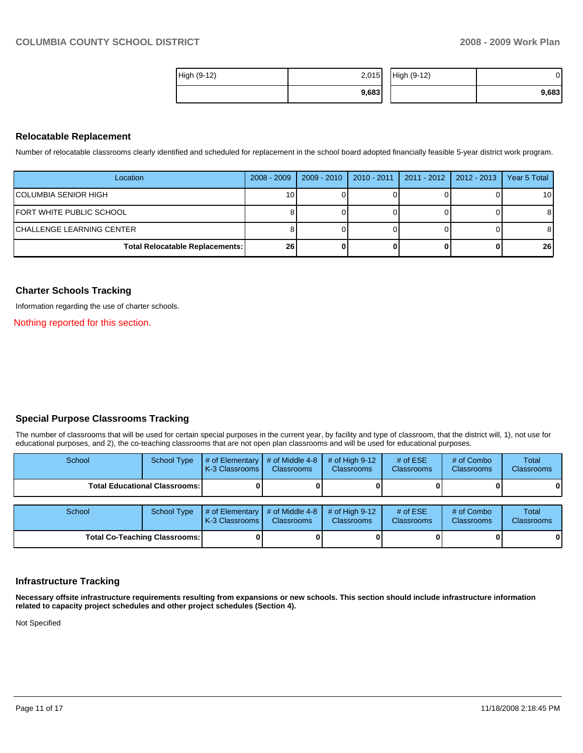| High (9-12) | 2,015 | High (9-12) | J۱    |
|-------------|-------|-------------|-------|
|             | 9,683 |             | 9,683 |

#### **Relocatable Replacement**

Number of relocatable classrooms clearly identified and scheduled for replacement in the school board adopted financially feasible 5-year district work program.

| Location                               | 2008 - 2009     | 2009 - 2010 | $2010 - 2011$ | 2011 - 2012 2012 - 2013 | Year 5 Total    |
|----------------------------------------|-----------------|-------------|---------------|-------------------------|-----------------|
| <b>COLUMBIA SENIOR HIGH</b>            | 10 <sup>1</sup> |             |               |                         | 10 <sup>1</sup> |
| IFORT WHITE PUBLIC SCHOOL              |                 |             |               |                         | 81              |
| ICHALLENGE LEARNING CENTER             |                 |             |               |                         | 81              |
| <b>Total Relocatable Replacements:</b> | 26 <sub>1</sub> |             |               |                         | 26 <sup>1</sup> |

#### **Charter Schools Tracking**

Information regarding the use of charter schools.

Nothing reported for this section.

#### **Special Purpose Classrooms Tracking**

The number of classrooms that will be used for certain special purposes in the current year, by facility and type of classroom, that the district will, 1), not use for educational purposes, and 2), the co-teaching classrooms that are not open plan classrooms and will be used for educational purposes.

| School                               | <b>School Type</b> | # of Elementary<br>K-3 Classrooms | # of Middle 4-8<br><b>Classrooms</b> | $#$ of High 9-12<br><b>Classrooms</b> | # of $ESE$<br>Classrooms | # of Combo<br><b>Classrooms</b> | Total<br><b>Classrooms</b> |
|--------------------------------------|--------------------|-----------------------------------|--------------------------------------|---------------------------------------|--------------------------|---------------------------------|----------------------------|
| Total Educational Classrooms: I      |                    |                                   |                                      |                                       |                          |                                 | 0                          |
|                                      |                    |                                   |                                      |                                       |                          |                                 |                            |
| School                               | <b>School Type</b> | # of Elementary<br>K-3 Classrooms | # of Middle 4-8<br><b>Classrooms</b> | $#$ of High 9-12<br><b>Classrooms</b> | # of $ESE$<br>Classrooms | # of Combo<br><b>Classrooms</b> | Total<br><b>Classrooms</b> |
| <b>Total Co-Teaching Classrooms:</b> |                    |                                   |                                      |                                       |                          |                                 | 0                          |

#### **Infrastructure Tracking**

**Necessary offsite infrastructure requirements resulting from expansions or new schools. This section should include infrastructure information related to capacity project schedules and other project schedules (Section 4).** 

Not Specified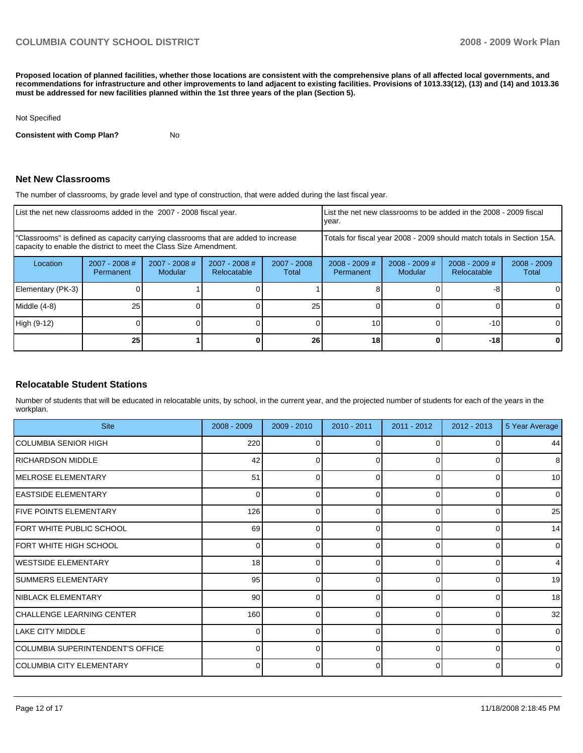**Proposed location of planned facilities, whether those locations are consistent with the comprehensive plans of all affected local governments, and recommendations for infrastructure and other improvements to land adjacent to existing facilities. Provisions of 1013.33(12), (13) and (14) and 1013.36 must be addressed for new facilities planned within the 1st three years of the plan (Section 5).** 

#### Not Specified

**Consistent with Comp Plan?** No

#### **Net New Classrooms**

The number of classrooms, by grade level and type of construction, that were added during the last fiscal year.

|                                                                                                                                                         | List the net new classrooms added in the 2007 - 2008 fiscal year. |                                   |                                |                        |                                                                        | List the net new classrooms to be added in the 2008 - 2009 fiscal<br>year. |                                |                        |  |
|---------------------------------------------------------------------------------------------------------------------------------------------------------|-------------------------------------------------------------------|-----------------------------------|--------------------------------|------------------------|------------------------------------------------------------------------|----------------------------------------------------------------------------|--------------------------------|------------------------|--|
| "Classrooms" is defined as capacity carrying classrooms that are added to increase<br>capacity to enable the district to meet the Class Size Amendment. |                                                                   |                                   |                                |                        | Totals for fiscal year 2008 - 2009 should match totals in Section 15A. |                                                                            |                                |                        |  |
| Location                                                                                                                                                | $2007 - 2008$ #<br>Permanent                                      | $2007 - 2008$ #<br><b>Modular</b> | $2007 - 2008$ #<br>Relocatable | $2007 - 2008$<br>Total | $2008 - 2009$ #<br><b>Permanent</b>                                    | $2008 - 2009$ #<br><b>Modular</b>                                          | $2008 - 2009$ #<br>Relocatable | $2008 - 2009$<br>Total |  |
| Elementary (PK-3)                                                                                                                                       |                                                                   |                                   |                                |                        |                                                                        |                                                                            | -8                             | 0                      |  |
| Middle (4-8)                                                                                                                                            | 251                                                               |                                   |                                | 25                     |                                                                        |                                                                            |                                | 0                      |  |
| High (9-12)                                                                                                                                             |                                                                   |                                   |                                |                        | 10                                                                     |                                                                            | $-10$                          | $\Omega$               |  |
|                                                                                                                                                         | 25                                                                |                                   |                                | 26                     | 18                                                                     |                                                                            | $-18$                          | 0                      |  |

#### **Relocatable Student Stations**

Number of students that will be educated in relocatable units, by school, in the current year, and the projected number of students for each of the years in the workplan.

| <b>Site</b>                      | $2008 - 2009$  | $2009 - 2010$ | 2010 - 2011 | 2011 - 2012  | $2012 - 2013$ | 5 Year Average |
|----------------------------------|----------------|---------------|-------------|--------------|---------------|----------------|
| COLUMBIA SENIOR HIGH             | 220            |               |             |              |               | 44             |
| RICHARDSON MIDDLE                | 42             | 0             | 0           | 0            | 0             | 8              |
| MELROSE ELEMENTARY               | 51             | O             | $\Omega$    | <sup>0</sup> | O             | 10             |
| <b>EASTSIDE ELEMENTARY</b>       | $\overline{0}$ | 0             | 0           | 0            | 0             | $\overline{0}$ |
| <b>FIVE POINTS ELEMENTARY</b>    | 126            | O             | $\Omega$    | U            | O             | 25             |
| <b>FORT WHITE PUBLIC SCHOOL</b>  | 69             | 0             | 0           | 0            | 0             | 14             |
| <b>FORT WHITE HIGH SCHOOL</b>    | $\Omega$       | n             | $\Omega$    | U            | O             | $\overline{0}$ |
| <b>I</b> WESTSIDE ELEMENTARY     | 18             | 0             | 0           | $\Omega$     | 0             | $\overline{4}$ |
| <b>SUMMERS ELEMENTARY</b>        | 95             | O             | $\Omega$    |              | U             | 19             |
| NIBLACK ELEMENTARY               | 90             | 0             | 0           | $\Omega$     | 0             | 18             |
| CHALLENGE LEARNING CENTER        | 160            | O             | ∩           |              | U             | 32             |
| <b>LAKE CITY MIDDLE</b>          | $\Omega$       | 0             | 0           | $\Omega$     | 0             | $\overline{0}$ |
| COLUMBIA SUPERINTENDENT'S OFFICE | U              | n             | $\Omega$    |              | 0             | $\Omega$       |
| COLUMBIA CITY ELEMENTARY         | $\Omega$       | 0             | $\Omega$    | 0            | $\Omega$      | $\overline{0}$ |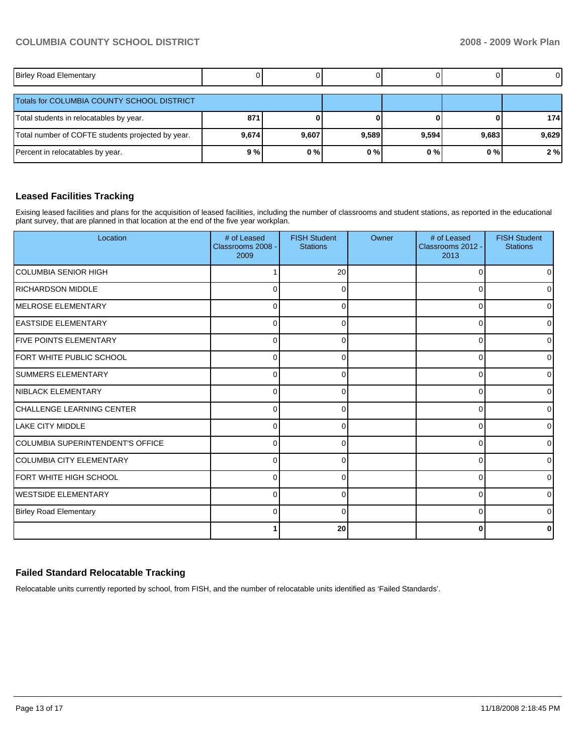| <b>Birley Road Elementary</b>                     |       |       |       |       |       | $\overline{0}$ |
|---------------------------------------------------|-------|-------|-------|-------|-------|----------------|
| Totals for COLUMBIA COUNTY SCHOOL DISTRICT        |       |       |       |       |       |                |
| Total students in relocatables by year.           | 871   |       |       |       |       | 174            |
| Total number of COFTE students projected by year. | 9,674 | 9,607 | 9,589 | 9,594 | 9,683 | 9,629          |
| Percent in relocatables by year.                  | 9%    | 0%    | 0%    | $0\%$ | 0%    | 2%             |

#### **Leased Facilities Tracking**

Exising leased facilities and plans for the acquisition of leased facilities, including the number of classrooms and student stations, as reported in the educational plant survey, that are planned in that location at the end of the five year workplan.

| Location                         | # of Leased<br>Classrooms 2008 -<br>2009 | <b>FISH Student</b><br><b>Stations</b> | Owner | # of Leased<br>Classrooms 2012 -<br>2013 | <b>FISH Student</b><br><b>Stations</b> |
|----------------------------------|------------------------------------------|----------------------------------------|-------|------------------------------------------|----------------------------------------|
| <b>COLUMBIA SENIOR HIGH</b>      |                                          | 20                                     |       | $\Omega$                                 |                                        |
| <b>RICHARDSON MIDDLE</b>         | $\Omega$                                 | 0                                      |       | $\Omega$                                 |                                        |
| <b>IMELROSE ELEMENTARY</b>       | 0                                        | 0                                      |       | 0                                        | U                                      |
| <b>EASTSIDE ELEMENTARY</b>       | 0                                        | 0                                      |       | 0                                        | 0                                      |
| <b>FIVE POINTS ELEMENTARY</b>    | 0                                        | 0                                      |       | 0                                        | <sup>0</sup>                           |
| <b>IFORT WHITE PUBLIC SCHOOL</b> | $\Omega$                                 | 0                                      |       | $\Omega$                                 | ∩                                      |
| <b>SUMMERS ELEMENTARY</b>        | $\Omega$                                 | $\Omega$                               |       | 0                                        | <sup>0</sup>                           |
| <b>NIBLACK ELEMENTARY</b>        | $\Omega$                                 | ∩                                      |       | $\Omega$                                 | $\Omega$                               |
| CHALLENGE LEARNING CENTER        | $\Omega$                                 |                                        |       | 0                                        | U                                      |
| <b>LAKE CITY MIDDLE</b>          | $\Omega$                                 |                                        |       | 0                                        |                                        |
| COLUMBIA SUPERINTENDENT'S OFFICE | $\Omega$                                 |                                        |       | 0                                        | <sup>0</sup>                           |
| COLUMBIA CITY ELEMENTARY         | 0                                        |                                        |       | 0                                        | U                                      |
| IFORT WHITE HIGH SCHOOL          | 0                                        | 0                                      |       | $\Omega$                                 | 0                                      |
| <b>I</b> WESTSIDE ELEMENTARY     | 0                                        | 0                                      |       | $\Omega$                                 | <sup>0</sup>                           |
| <b>Birley Road Elementary</b>    | 0                                        | 0                                      |       | $\overline{0}$                           | 0                                      |
|                                  | 1                                        | 20                                     |       | $\bf{0}$                                 | 0                                      |

## **Failed Standard Relocatable Tracking**

Relocatable units currently reported by school, from FISH, and the number of relocatable units identified as 'Failed Standards'.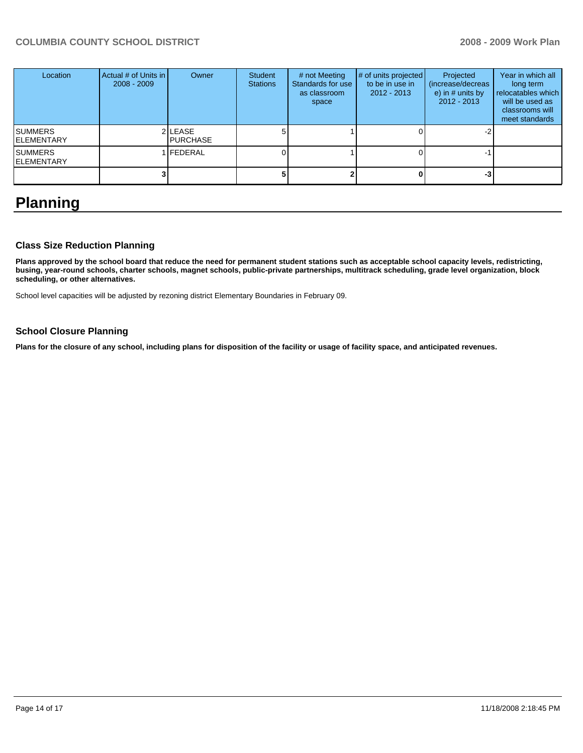| Location                            | Actual # of Units in I<br>$2008 - 2009$ | Owner                       | <b>Student</b><br><b>Stations</b> | # not Meeting<br>Standards for use<br>as classroom<br>space | # of units projected<br>to be in use in<br>$2012 - 2013$ | Projected<br>(increase/decreas)<br>e) in $#$ units by<br>$2012 - 2013$ | Year in which all<br>long term<br>relocatables which<br>will be used as<br>classrooms will<br>meet standards |
|-------------------------------------|-----------------------------------------|-----------------------------|-----------------------------------|-------------------------------------------------------------|----------------------------------------------------------|------------------------------------------------------------------------|--------------------------------------------------------------------------------------------------------------|
| <b>SUMMERS</b><br><b>ELEMENTARY</b> |                                         | 2 LEASE<br><b>IPURCHASE</b> |                                   |                                                             |                                                          |                                                                        |                                                                                                              |
| <b>SUMMERS</b><br><b>ELEMENTARY</b> |                                         | <b>IFEDERAL</b>             |                                   |                                                             |                                                          |                                                                        |                                                                                                              |
|                                     |                                         |                             |                                   |                                                             |                                                          | -3                                                                     |                                                                                                              |

# **Planning**

## **Class Size Reduction Planning**

**Plans approved by the school board that reduce the need for permanent student stations such as acceptable school capacity levels, redistricting, busing, year-round schools, charter schools, magnet schools, public-private partnerships, multitrack scheduling, grade level organization, block scheduling, or other alternatives.** 

School level capacities will be adjusted by rezoning district Elementary Boundaries in February 09.

#### **School Closure Planning**

Plans for the closure of any school, including plans for disposition of the facility or usage of facility space, and anticipated revenues.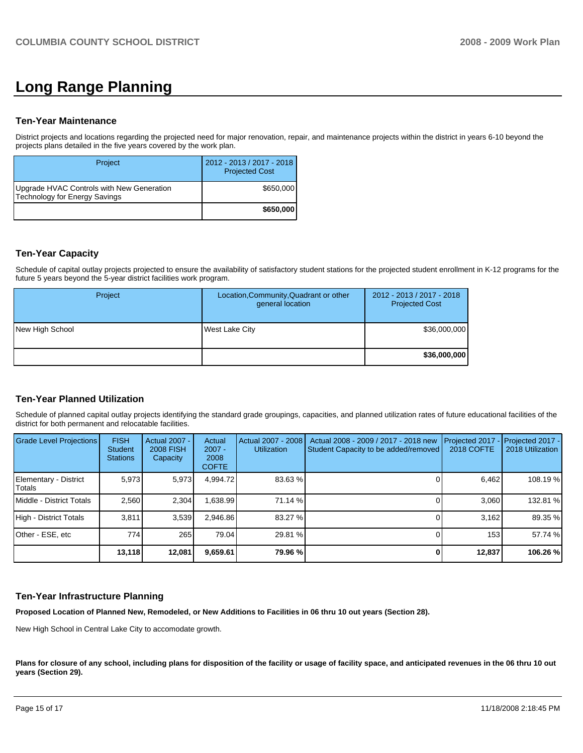# **Long Range Planning**

#### **Ten-Year Maintenance**

District projects and locations regarding the projected need for major renovation, repair, and maintenance projects within the district in years 6-10 beyond the projects plans detailed in the five years covered by the work plan.

| Project                                                                    | 2012 - 2013 / 2017 - 2018<br><b>Projected Cost</b> |
|----------------------------------------------------------------------------|----------------------------------------------------|
| Upgrade HVAC Controls with New Generation<br>Technology for Energy Savings | \$650,000                                          |
|                                                                            | \$650,000                                          |

#### **Ten-Year Capacity**

Schedule of capital outlay projects projected to ensure the availability of satisfactory student stations for the projected student enrollment in K-12 programs for the future 5 years beyond the 5-year district facilities work program.

| <b>Project</b>  | Location, Community, Quadrant or other<br>general location | 2012 - 2013 / 2017 - 2018<br><b>Projected Cost</b> |
|-----------------|------------------------------------------------------------|----------------------------------------------------|
| New High School | <b>West Lake City</b>                                      | \$36,000,000                                       |
|                 |                                                            | \$36,000,000                                       |

#### **Ten-Year Planned Utilization**

Schedule of planned capital outlay projects identifying the standard grade groupings, capacities, and planned utilization rates of future educational facilities of the district for both permanent and relocatable facilities.

| Grade Level Projections                | <b>FISH</b><br><b>Student</b><br><b>Stations</b> | Actual 2007 -<br><b>2008 FISH</b><br>Capacity | Actual<br>$2007 -$<br>2008<br><b>COFTE</b> | Actual 2007 - 2008<br><b>Utilization</b> | Actual 2008 - 2009 / 2017 - 2018 new<br>Student Capacity to be added/removed | Projected 2017<br>2018 COFTE | $-$ Projected 2017 -<br>2018 Utilization |
|----------------------------------------|--------------------------------------------------|-----------------------------------------------|--------------------------------------------|------------------------------------------|------------------------------------------------------------------------------|------------------------------|------------------------------------------|
| Elementary - District<br><b>Totals</b> | 5,973                                            | 5,973                                         | 4.994.72                                   | 83.63 %                                  |                                                                              | 6,462                        | 108.19 %                                 |
| Middle - District Totals               | 2.560                                            | 2.304                                         | 1.638.99                                   | 71.14 %                                  |                                                                              | 3.060                        | 132.81 %                                 |
| High - District Totals                 | 3.811                                            | 3,539                                         | 2.946.86                                   | 83.27 %                                  |                                                                              | 3.162                        | 89.35 %                                  |
| Other - ESE, etc                       | 774 l                                            | 265                                           | 79.04                                      | 29.81 %                                  |                                                                              | 153                          | 57.74 %                                  |
|                                        | 13,118                                           | 12,081                                        | 9,659.61                                   | 79.96 %                                  |                                                                              | 12,837                       | 106.26 %                                 |

#### **Ten-Year Infrastructure Planning**

**Proposed Location of Planned New, Remodeled, or New Additions to Facilities in 06 thru 10 out years (Section 28).** 

New High School in Central Lake City to accomodate growth.

Plans for closure of any school, including plans for disposition of the facility or usage of facility space, and anticipated revenues in the 06 thru 10 out **years (Section 29).**